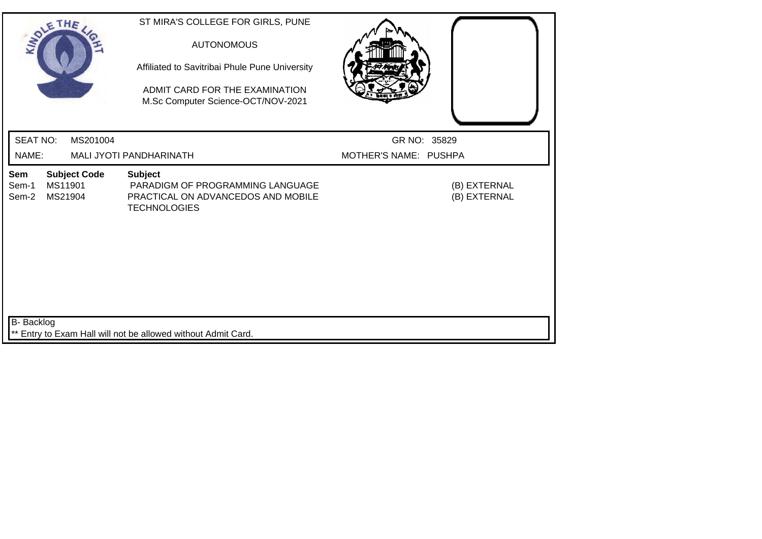| SOLETHE,                                                           | ST MIRA'S COLLEGE FOR GIRLS, PUNE<br><b>AUTONOMOUS</b><br>Affiliated to Savitribai Phule Pune University<br>ADMIT CARD FOR THE EXAMINATION<br>M.Sc Computer Science-OCT/NOV-2021 |                              |
|--------------------------------------------------------------------|----------------------------------------------------------------------------------------------------------------------------------------------------------------------------------|------------------------------|
| <b>SEAT NO:</b><br>MS201004                                        |                                                                                                                                                                                  | GR NO: 35829                 |
| NAME:                                                              | MALI JYOTI PANDHARINATH                                                                                                                                                          | MOTHER'S NAME: PUSHPA        |
| <b>Subject Code</b><br>Sem<br>MS11901<br>Sem-1<br>MS21904<br>Sem-2 | <b>Subject</b><br>PARADIGM OF PROGRAMMING LANGUAGE<br>PRACTICAL ON ADVANCEDOS AND MOBILE<br><b>TECHNOLOGIES</b>                                                                  | (B) EXTERNAL<br>(B) EXTERNAL |
| B- Backlog                                                         | ** Entry to Exam Hall will not be allowed without Admit Card.                                                                                                                    |                              |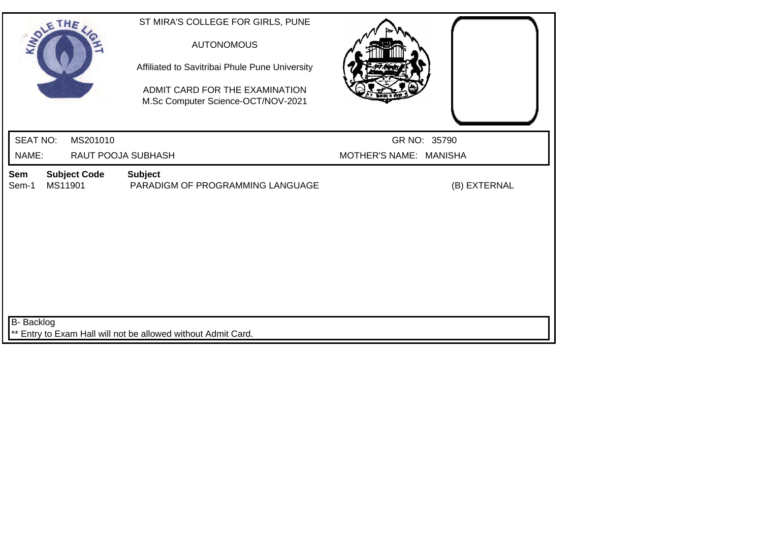| SOLETHE,                                       | ST MIRA'S COLLEGE FOR GIRLS, PUNE<br><b>AUTONOMOUS</b><br>Affiliated to Savitribai Phule Pune University<br>ADMIT CARD FOR THE EXAMINATION<br>M.Sc Computer Science-OCT/NOV-2021 |                        |
|------------------------------------------------|----------------------------------------------------------------------------------------------------------------------------------------------------------------------------------|------------------------|
| <b>SEAT NO:</b><br>MS201010                    |                                                                                                                                                                                  | GR NO: 35790           |
| NAME:                                          | RAUT POOJA SUBHASH                                                                                                                                                               | MOTHER'S NAME: MANISHA |
| <b>Subject Code</b><br>Sem<br>MS11901<br>Sem-1 | <b>Subject</b><br>PARADIGM OF PROGRAMMING LANGUAGE                                                                                                                               | (B) EXTERNAL           |
| <b>B-</b> Backlog                              | ** Entry to Exam Hall will not be allowed without Admit Card.                                                                                                                    |                        |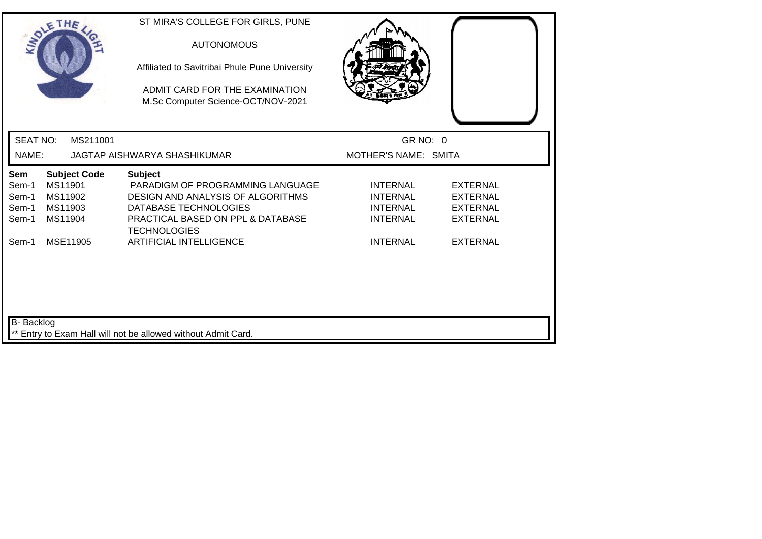|                                         | SOLETHE .                                                       | ST MIRA'S COLLEGE FOR GIRLS, PUNE<br><b>AUTONOMOUS</b><br>Affiliated to Savitribai Phule Pune University<br>ADMIT CARD FOR THE EXAMINATION<br>M.Sc Computer Science-OCT/NOV-2021 |                                                                          |                                                                          |
|-----------------------------------------|-----------------------------------------------------------------|----------------------------------------------------------------------------------------------------------------------------------------------------------------------------------|--------------------------------------------------------------------------|--------------------------------------------------------------------------|
| <b>SEAT NO:</b>                         | MS211001                                                        |                                                                                                                                                                                  | GR NO: 0                                                                 |                                                                          |
| NAME:                                   |                                                                 | JAGTAP AISHWARYA SHASHIKUMAR                                                                                                                                                     | MOTHER'S NAME: SMITA                                                     |                                                                          |
| Sem<br>Sem-1<br>Sem-1<br>Sem-1<br>Sem-1 | <b>Subject Code</b><br>MS11901<br>MS11902<br>MS11903<br>MS11904 | <b>Subject</b><br>PARADIGM OF PROGRAMMING LANGUAGE<br>DESIGN AND ANALYSIS OF ALGORITHMS<br>DATABASE TECHNOLOGIES<br>PRACTICAL BASED ON PPL & DATABASE<br><b>TECHNOLOGIES</b>     | <b>INTERNAL</b><br><b>INTERNAL</b><br><b>INTERNAL</b><br><b>INTERNAL</b> | <b>EXTERNAL</b><br><b>EXTERNAL</b><br><b>EXTERNAL</b><br><b>EXTERNAL</b> |
| Sem-1                                   | MSE11905                                                        | <b>ARTIFICIAL INTELLIGENCE</b>                                                                                                                                                   | <b>INTERNAL</b>                                                          | <b>EXTERNAL</b>                                                          |
| B- Backlog                              |                                                                 | ** Entry to Exam Hall will not be allowed without Admit Card.                                                                                                                    |                                                                          |                                                                          |
|                                         |                                                                 |                                                                                                                                                                                  |                                                                          |                                                                          |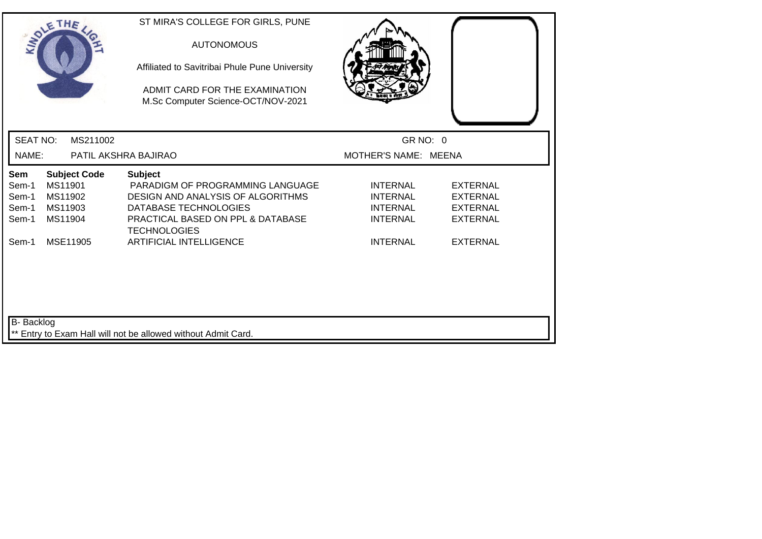| SOLETHE ,                                                                                                         | ST MIRA'S COLLEGE FOR GIRLS, PUNE<br><b>AUTONOMOUS</b><br>Affiliated to Savitribai Phule Pune University<br>ADMIT CARD FOR THE EXAMINATION<br>M.Sc Computer Science-OCT/NOV-2021 |                                                                          |                                                                          |
|-------------------------------------------------------------------------------------------------------------------|----------------------------------------------------------------------------------------------------------------------------------------------------------------------------------|--------------------------------------------------------------------------|--------------------------------------------------------------------------|
| <b>SEAT NO:</b><br>MS211002                                                                                       |                                                                                                                                                                                  | GR NO: 0                                                                 |                                                                          |
| NAME:                                                                                                             | PATIL AKSHRA BAJIRAO                                                                                                                                                             | MOTHER'S NAME: MEENA                                                     |                                                                          |
| <b>Sem</b><br><b>Subject Code</b><br>MS11901<br>Sem-1<br>MS11902<br>Sem-1<br>MS11903<br>Sem-1<br>MS11904<br>Sem-1 | <b>Subject</b><br>PARADIGM OF PROGRAMMING LANGUAGE<br>DESIGN AND ANALYSIS OF ALGORITHMS<br>DATABASE TECHNOLOGIES<br>PRACTICAL BASED ON PPL & DATABASE<br><b>TECHNOLOGIES</b>     | <b>INTERNAL</b><br><b>INTERNAL</b><br><b>INTERNAL</b><br><b>INTERNAL</b> | <b>EXTERNAL</b><br><b>EXTERNAL</b><br><b>EXTERNAL</b><br><b>EXTERNAL</b> |
| MSE11905<br>Sem-1                                                                                                 | <b>ARTIFICIAL INTELLIGENCE</b>                                                                                                                                                   | <b>INTERNAL</b>                                                          | <b>EXTERNAL</b>                                                          |
| B- Backlog                                                                                                        | Entry to Exam Hall will not be allowed without Admit Card.                                                                                                                       |                                                                          |                                                                          |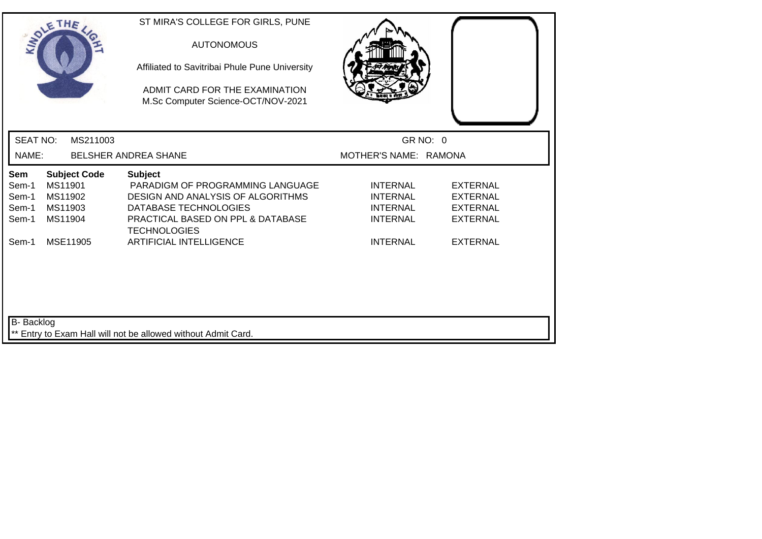| SOLETHE .                                                                                                  | ST MIRA'S COLLEGE FOR GIRLS, PUNE<br><b>AUTONOMOUS</b><br>Affiliated to Savitribai Phule Pune University<br>ADMIT CARD FOR THE EXAMINATION<br>M.Sc Computer Science-OCT/NOV-2021        |                                                                          |                                                                          |  |
|------------------------------------------------------------------------------------------------------------|-----------------------------------------------------------------------------------------------------------------------------------------------------------------------------------------|--------------------------------------------------------------------------|--------------------------------------------------------------------------|--|
| <b>SEAT NO:</b><br>MS211003                                                                                |                                                                                                                                                                                         | GR NO: 0                                                                 |                                                                          |  |
| NAME:                                                                                                      | BELSHER ANDREA SHANE                                                                                                                                                                    | MOTHER'S NAME: RAMONA                                                    |                                                                          |  |
| <b>Subject Code</b><br>Sem<br>MS11901<br>Sem-1<br>MS11902<br>Sem-1<br>MS11903<br>Sem-1<br>MS11904<br>Sem-1 | <b>Subject</b><br>PARADIGM OF PROGRAMMING LANGUAGE<br>DESIGN AND ANALYSIS OF ALGORITHMS<br>DATABASE TECHNOLOGIES<br><b>PRACTICAL BASED ON PPL &amp; DATABASE</b><br><b>TECHNOLOGIES</b> | <b>INTERNAL</b><br><b>INTERNAL</b><br><b>INTERNAL</b><br><b>INTERNAL</b> | <b>EXTERNAL</b><br><b>EXTERNAL</b><br><b>EXTERNAL</b><br><b>EXTERNAL</b> |  |
| MSE11905<br>Sem-1                                                                                          | <b>ARTIFICIAL INTELLIGENCE</b>                                                                                                                                                          | <b>INTERNAL</b>                                                          | <b>EXTERNAL</b>                                                          |  |
| B- Backlog                                                                                                 | ** Entry to Exam Hall will not be allowed without Admit Card.                                                                                                                           |                                                                          |                                                                          |  |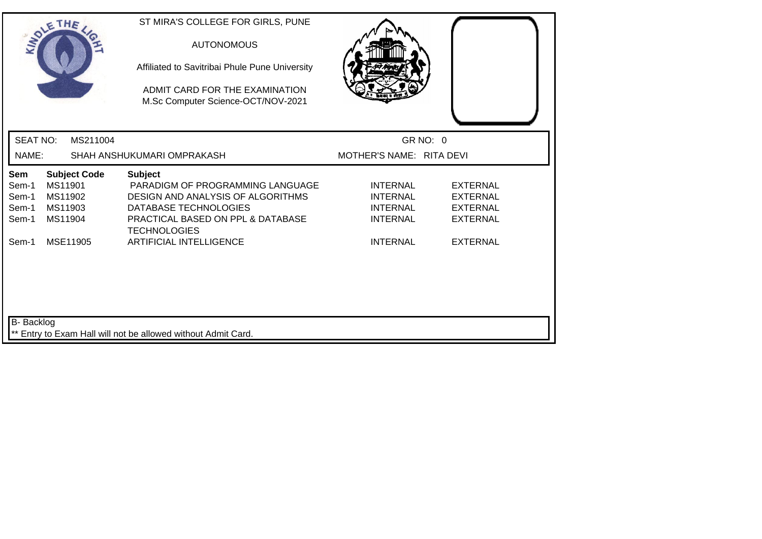| SOLETHE .                                                                                                         | ST MIRA'S COLLEGE FOR GIRLS, PUNE<br><b>AUTONOMOUS</b><br>Affiliated to Savitribai Phule Pune University<br>ADMIT CARD FOR THE EXAMINATION<br>M.Sc Computer Science-OCT/NOV-2021 |                                                                          |                                                                          |
|-------------------------------------------------------------------------------------------------------------------|----------------------------------------------------------------------------------------------------------------------------------------------------------------------------------|--------------------------------------------------------------------------|--------------------------------------------------------------------------|
| <b>SEAT NO:</b><br>MS211004                                                                                       |                                                                                                                                                                                  | GR NO: 0                                                                 |                                                                          |
| NAME:                                                                                                             | SHAH ANSHUKUMARI OMPRAKASH                                                                                                                                                       | MOTHER'S NAME: RITA DEVI                                                 |                                                                          |
| <b>Subject Code</b><br><b>Sem</b><br>MS11901<br>Sem-1<br>MS11902<br>Sem-1<br>MS11903<br>Sem-1<br>Sem-1<br>MS11904 | <b>Subject</b><br>PARADIGM OF PROGRAMMING LANGUAGE<br>DESIGN AND ANALYSIS OF ALGORITHMS<br>DATABASE TECHNOLOGIES<br>PRACTICAL BASED ON PPL & DATABASE<br><b>TECHNOLOGIES</b>     | <b>INTERNAL</b><br><b>INTERNAL</b><br><b>INTERNAL</b><br><b>INTERNAL</b> | <b>EXTERNAL</b><br><b>EXTERNAL</b><br><b>EXTERNAL</b><br><b>EXTERNAL</b> |
| Sem-1<br>MSE11905<br>B- Backlog                                                                                   | <b>ARTIFICIAL INTELLIGENCE</b>                                                                                                                                                   | <b>INTERNAL</b>                                                          | <b>EXTERNAL</b>                                                          |
|                                                                                                                   | ** Entry to Exam Hall will not be allowed without Admit Card.                                                                                                                    |                                                                          |                                                                          |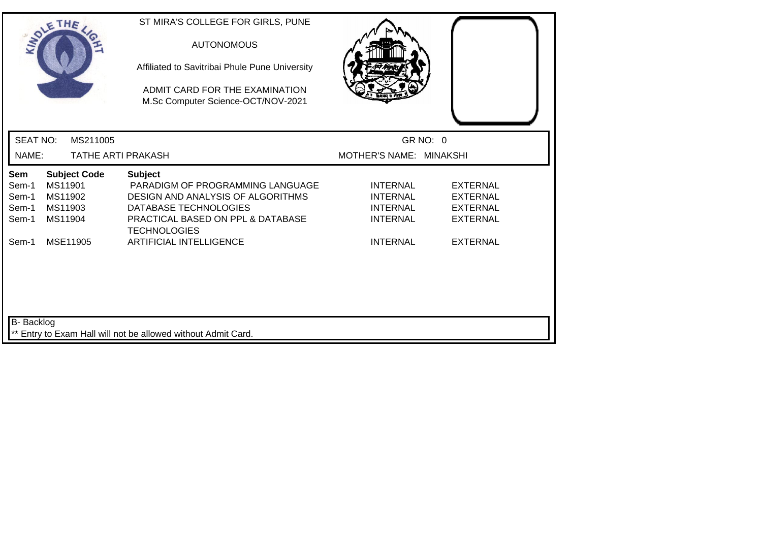| SOLETHE .                                                                                                         | ST MIRA'S COLLEGE FOR GIRLS, PUNE<br><b>AUTONOMOUS</b><br>Affiliated to Savitribai Phule Pune University<br>ADMIT CARD FOR THE EXAMINATION<br>M.Sc Computer Science-OCT/NOV-2021 |                                                                          |                                                                          |
|-------------------------------------------------------------------------------------------------------------------|----------------------------------------------------------------------------------------------------------------------------------------------------------------------------------|--------------------------------------------------------------------------|--------------------------------------------------------------------------|
| <b>SEAT NO:</b><br>MS211005                                                                                       |                                                                                                                                                                                  | GR NO: 0                                                                 |                                                                          |
| NAME:                                                                                                             | <b>TATHE ARTI PRAKASH</b>                                                                                                                                                        | MOTHER'S NAME: MINAKSHI                                                  |                                                                          |
| <b>Subject Code</b><br><b>Sem</b><br>MS11901<br>Sem-1<br>MS11902<br>Sem-1<br>MS11903<br>Sem-1<br>MS11904<br>Sem-1 | <b>Subject</b><br>PARADIGM OF PROGRAMMING LANGUAGE<br>DESIGN AND ANALYSIS OF ALGORITHMS<br>DATABASE TECHNOLOGIES<br>PRACTICAL BASED ON PPL & DATABASE<br><b>TECHNOLOGIES</b>     | <b>INTERNAL</b><br><b>INTERNAL</b><br><b>INTERNAL</b><br><b>INTERNAL</b> | <b>EXTERNAL</b><br><b>EXTERNAL</b><br><b>EXTERNAL</b><br><b>EXTERNAL</b> |
| MSE11905<br>Sem-1                                                                                                 | <b>ARTIFICIAL INTELLIGENCE</b>                                                                                                                                                   | <b>INTERNAL</b>                                                          | <b>EXTERNAL</b>                                                          |
| B- Backlog                                                                                                        | ** Entry to Exam Hall will not be allowed without Admit Card.                                                                                                                    |                                                                          |                                                                          |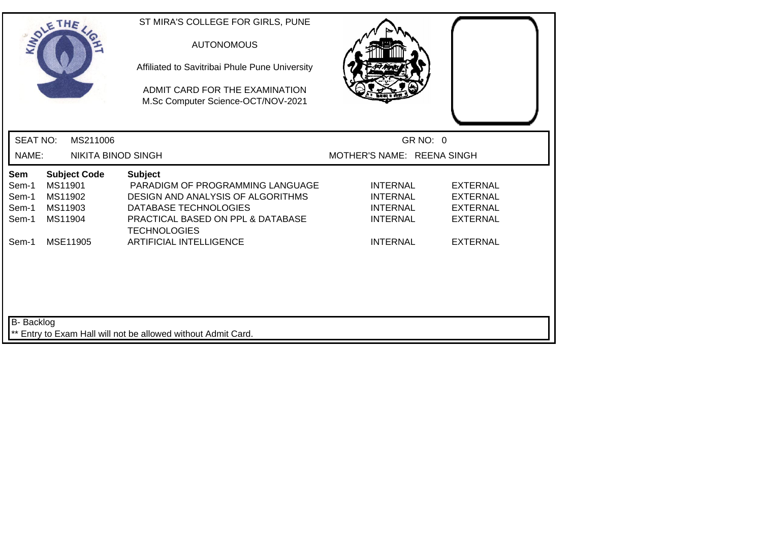| SOLETHE .                                                                                                  | ST MIRA'S COLLEGE FOR GIRLS, PUNE<br><b>AUTONOMOUS</b><br>Affiliated to Savitribai Phule Pune University<br>ADMIT CARD FOR THE EXAMINATION<br>M.Sc Computer Science-OCT/NOV-2021        |                                                                          |                                                                          |
|------------------------------------------------------------------------------------------------------------|-----------------------------------------------------------------------------------------------------------------------------------------------------------------------------------------|--------------------------------------------------------------------------|--------------------------------------------------------------------------|
| <b>SEAT NO:</b><br>MS211006                                                                                |                                                                                                                                                                                         | GR NO: 0                                                                 |                                                                          |
| NAME:<br><b>NIKITA BINOD SINGH</b>                                                                         |                                                                                                                                                                                         | MOTHER'S NAME: REENA SINGH                                               |                                                                          |
| <b>Subject Code</b><br>Sem<br>MS11901<br>Sem-1<br>MS11902<br>Sem-1<br>MS11903<br>Sem-1<br>MS11904<br>Sem-1 | <b>Subject</b><br>PARADIGM OF PROGRAMMING LANGUAGE<br>DESIGN AND ANALYSIS OF ALGORITHMS<br>DATABASE TECHNOLOGIES<br><b>PRACTICAL BASED ON PPL &amp; DATABASE</b><br><b>TECHNOLOGIES</b> | <b>INTERNAL</b><br><b>INTERNAL</b><br><b>INTERNAL</b><br><b>INTERNAL</b> | <b>EXTERNAL</b><br><b>EXTERNAL</b><br><b>EXTERNAL</b><br><b>EXTERNAL</b> |
| MSE11905<br>Sem-1                                                                                          | <b>ARTIFICIAL INTELLIGENCE</b>                                                                                                                                                          | <b>INTERNAL</b>                                                          | <b>EXTERNAL</b>                                                          |
| B- Backlog                                                                                                 | ** Entry to Exam Hall will not be allowed without Admit Card.                                                                                                                           |                                                                          |                                                                          |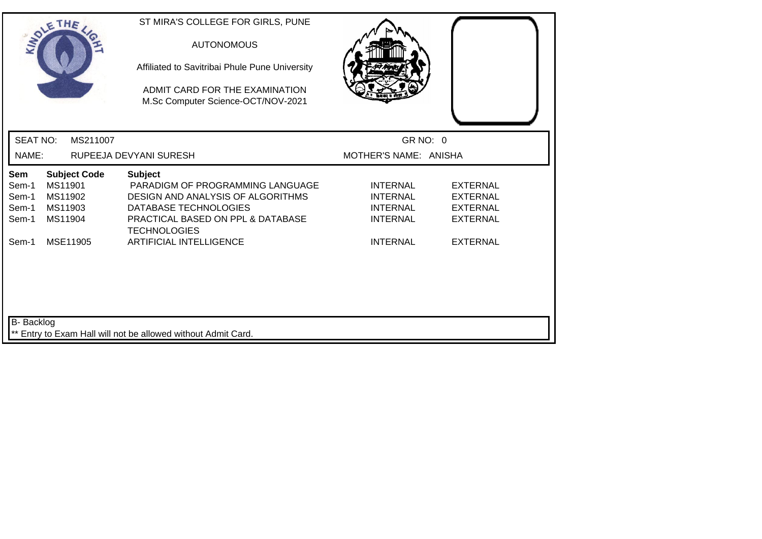| SOLETHE .                                                                                                  | ST MIRA'S COLLEGE FOR GIRLS, PUNE<br><b>AUTONOMOUS</b><br>Affiliated to Savitribai Phule Pune University<br>ADMIT CARD FOR THE EXAMINATION<br>M.Sc Computer Science-OCT/NOV-2021    |                                                                          |                                                                          |
|------------------------------------------------------------------------------------------------------------|-------------------------------------------------------------------------------------------------------------------------------------------------------------------------------------|--------------------------------------------------------------------------|--------------------------------------------------------------------------|
| <b>SEAT NO:</b><br>MS211007                                                                                |                                                                                                                                                                                     | GR NO: 0                                                                 |                                                                          |
| NAME:                                                                                                      | RUPEEJA DEVYANI SURESH                                                                                                                                                              | MOTHER'S NAME: ANISHA                                                    |                                                                          |
| <b>Subject Code</b><br>Sem<br>MS11901<br>Sem-1<br>MS11902<br>Sem-1<br>Sem-1<br>MS11903<br>Sem-1<br>MS11904 | <b>Subject</b><br>PARADIGM OF PROGRAMMING LANGUAGE<br><b>DESIGN AND ANALYSIS OF ALGORITHMS</b><br>DATABASE TECHNOLOGIES<br>PRACTICAL BASED ON PPL & DATABASE<br><b>TECHNOLOGIES</b> | <b>INTERNAL</b><br><b>INTERNAL</b><br><b>INTERNAL</b><br><b>INTERNAL</b> | <b>EXTERNAL</b><br><b>EXTERNAL</b><br><b>EXTERNAL</b><br><b>EXTERNAL</b> |
| Sem-1<br>MSE11905<br>B- Backlog                                                                            | <b>ARTIFICIAL INTELLIGENCE</b>                                                                                                                                                      | <b>INTERNAL</b>                                                          | <b>EXTERNAL</b>                                                          |
|                                                                                                            | ** Entry to Exam Hall will not be allowed without Admit Card.                                                                                                                       |                                                                          |                                                                          |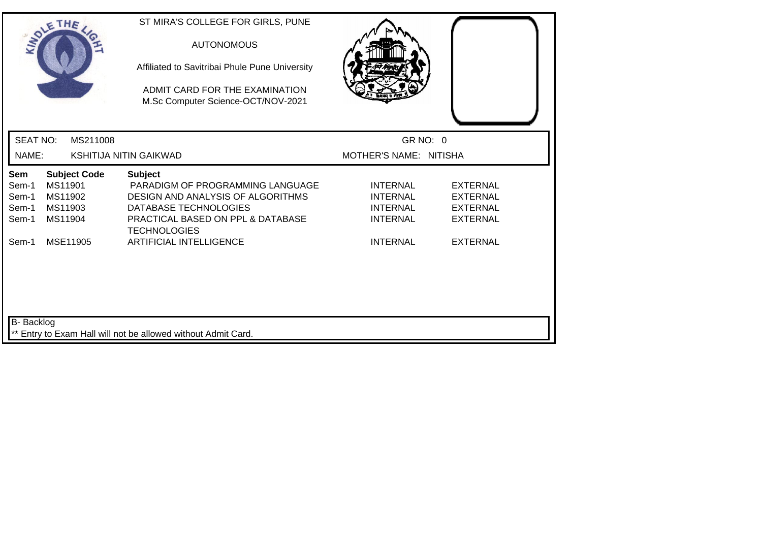| SOLETHE .                                                                                                  | ST MIRA'S COLLEGE FOR GIRLS, PUNE<br><b>AUTONOMOUS</b><br>Affiliated to Savitribai Phule Pune University<br>ADMIT CARD FOR THE EXAMINATION<br>M.Sc Computer Science-OCT/NOV-2021 |                                                                          |                                                                          |
|------------------------------------------------------------------------------------------------------------|----------------------------------------------------------------------------------------------------------------------------------------------------------------------------------|--------------------------------------------------------------------------|--------------------------------------------------------------------------|
| <b>SEAT NO:</b><br>MS211008                                                                                |                                                                                                                                                                                  | GR NO: 0                                                                 |                                                                          |
| NAME:                                                                                                      | <b>KSHITIJA NITIN GAIKWAD</b>                                                                                                                                                    | MOTHER'S NAME: NITISHA                                                   |                                                                          |
| <b>Subject Code</b><br>Sem<br>MS11901<br>Sem-1<br>MS11902<br>Sem-1<br>MS11903<br>Sem-1<br>MS11904<br>Sem-1 | <b>Subject</b><br>PARADIGM OF PROGRAMMING LANGUAGE<br>DESIGN AND ANALYSIS OF ALGORITHMS<br>DATABASE TECHNOLOGIES<br>PRACTICAL BASED ON PPL & DATABASE<br><b>TECHNOLOGIES</b>     | <b>INTERNAL</b><br><b>INTERNAL</b><br><b>INTERNAL</b><br><b>INTERNAL</b> | <b>EXTERNAL</b><br><b>EXTERNAL</b><br><b>EXTERNAL</b><br><b>EXTERNAL</b> |
| MSE11905<br>Sem-1                                                                                          | <b>ARTIFICIAL INTELLIGENCE</b>                                                                                                                                                   | <b>INTERNAL</b>                                                          | <b>EXTERNAL</b>                                                          |
| B- Backlog                                                                                                 | ** Entry to Exam Hall will not be allowed without Admit Card.                                                                                                                    |                                                                          |                                                                          |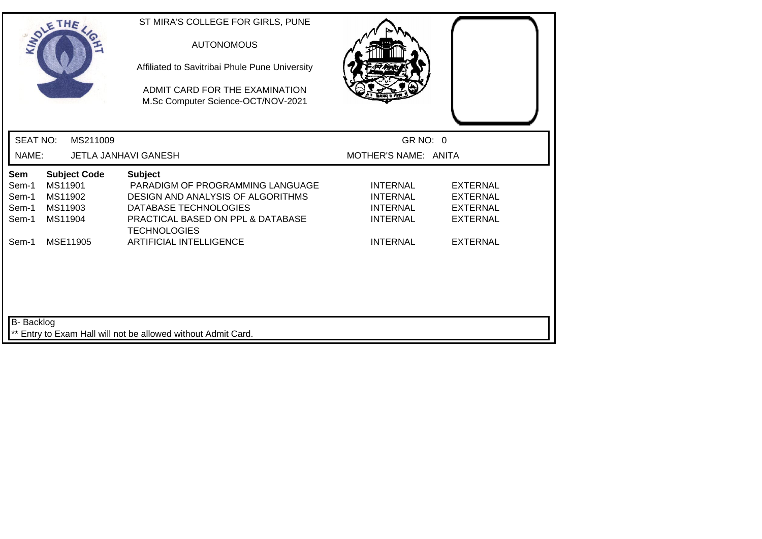| SOLETHE .                                                                                                  | ST MIRA'S COLLEGE FOR GIRLS, PUNE<br><b>AUTONOMOUS</b><br>Affiliated to Savitribai Phule Pune University<br>ADMIT CARD FOR THE EXAMINATION<br>M.Sc Computer Science-OCT/NOV-2021 |                                                                          |                                                                          |
|------------------------------------------------------------------------------------------------------------|----------------------------------------------------------------------------------------------------------------------------------------------------------------------------------|--------------------------------------------------------------------------|--------------------------------------------------------------------------|
| <b>SEAT NO:</b><br>MS211009                                                                                |                                                                                                                                                                                  | GR NO: 0                                                                 |                                                                          |
| NAME:                                                                                                      | <b>JETLA JANHAVI GANESH</b>                                                                                                                                                      | MOTHER'S NAME: ANITA                                                     |                                                                          |
| <b>Subject Code</b><br>Sem<br>MS11901<br>Sem-1<br>Sem-1<br>MS11902<br>MS11903<br>Sem-1<br>Sem-1<br>MS11904 | <b>Subject</b><br>PARADIGM OF PROGRAMMING LANGUAGE<br>DESIGN AND ANALYSIS OF ALGORITHMS<br>DATABASE TECHNOLOGIES<br>PRACTICAL BASED ON PPL & DATABASE<br><b>TECHNOLOGIES</b>     | <b>INTERNAL</b><br><b>INTERNAL</b><br><b>INTERNAL</b><br><b>INTERNAL</b> | <b>EXTERNAL</b><br><b>EXTERNAL</b><br><b>EXTERNAL</b><br><b>EXTERNAL</b> |
| MSE11905<br>Sem-1                                                                                          | <b>ARTIFICIAL INTELLIGENCE</b>                                                                                                                                                   | <b>INTERNAL</b>                                                          | <b>EXTERNAL</b>                                                          |
| B- Backlog                                                                                                 | ** Entry to Exam Hall will not be allowed without Admit Card.                                                                                                                    |                                                                          |                                                                          |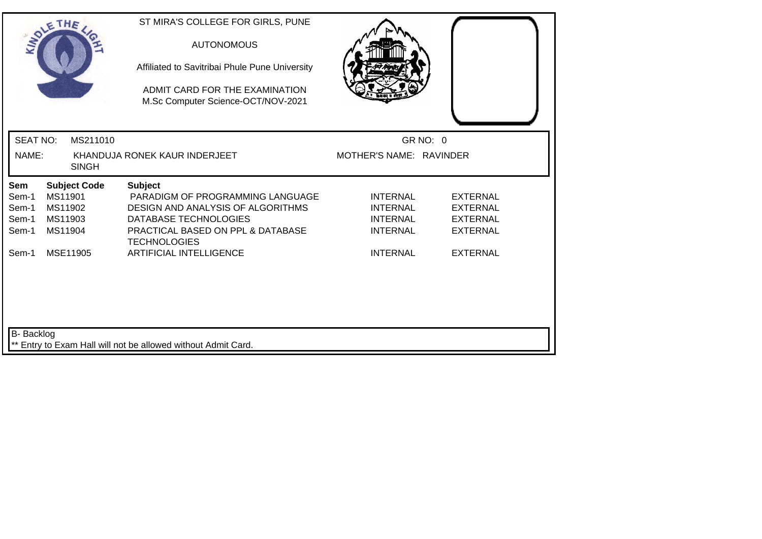| SOLETHE .         |                     | ST MIRA'S COLLEGE FOR GIRLS, PUNE<br><b>AUTONOMOUS</b><br>Affiliated to Savitribai Phule Pune University<br>ADMIT CARD FOR THE EXAMINATION<br>M.Sc Computer Science-OCT/NOV-2021 |                                    |                                    |
|-------------------|---------------------|----------------------------------------------------------------------------------------------------------------------------------------------------------------------------------|------------------------------------|------------------------------------|
| <b>SEAT NO:</b>   | MS211010            |                                                                                                                                                                                  | GR NO: 0                           |                                    |
| NAME:             | <b>SINGH</b>        | KHANDUJA RONEK KAUR INDERJEET                                                                                                                                                    | MOTHER'S NAME: RAVINDER            |                                    |
| Sem               | <b>Subject Code</b> | <b>Subject</b>                                                                                                                                                                   |                                    |                                    |
| Sem-1<br>Sem-1    | MS11901<br>MS11902  | PARADIGM OF PROGRAMMING LANGUAGE<br>DESIGN AND ANALYSIS OF ALGORITHMS                                                                                                            | <b>INTERNAL</b><br><b>INTERNAL</b> | <b>EXTERNAL</b><br><b>EXTERNAL</b> |
| Sem-1             | MS11903             | DATABASE TECHNOLOGIES                                                                                                                                                            | <b>INTERNAL</b>                    | <b>EXTERNAL</b>                    |
| Sem-1             | MS11904             | PRACTICAL BASED ON PPL & DATABASE<br><b>TECHNOLOGIES</b>                                                                                                                         | <b>INTERNAL</b>                    | <b>EXTERNAL</b>                    |
| Sem-1             | MSE11905            | <b>ARTIFICIAL INTELLIGENCE</b>                                                                                                                                                   | <b>INTERNAL</b>                    | <b>EXTERNAL</b>                    |
| <b>B-</b> Backlog |                     | ** Entry to Exam Hall will not be allowed without Admit Card.                                                                                                                    |                                    |                                    |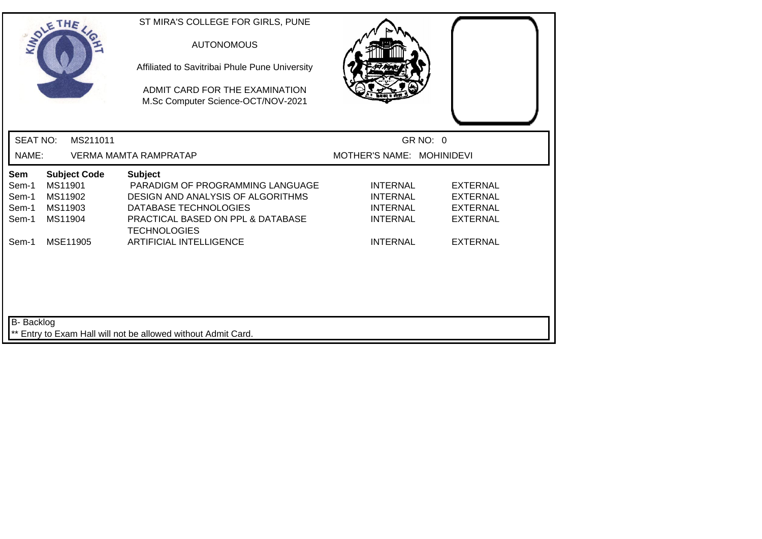| SOLETHE .                                                                                                  | ST MIRA'S COLLEGE FOR GIRLS, PUNE<br><b>AUTONOMOUS</b><br>Affiliated to Savitribai Phule Pune University<br>ADMIT CARD FOR THE EXAMINATION<br>M.Sc Computer Science-OCT/NOV-2021 |                                                                          |                                                                          |  |
|------------------------------------------------------------------------------------------------------------|----------------------------------------------------------------------------------------------------------------------------------------------------------------------------------|--------------------------------------------------------------------------|--------------------------------------------------------------------------|--|
| <b>SEAT NO:</b><br>MS211011                                                                                |                                                                                                                                                                                  | GR NO: 0                                                                 |                                                                          |  |
| NAME:                                                                                                      | <b>VERMA MAMTA RAMPRATAP</b>                                                                                                                                                     | MOTHER'S NAME: MOHINIDEVI                                                |                                                                          |  |
| Sem<br><b>Subject Code</b><br>MS11901<br>Sem-1<br>MS11902<br>Sem-1<br>MS11903<br>Sem-1<br>MS11904<br>Sem-1 | <b>Subject</b><br>PARADIGM OF PROGRAMMING LANGUAGE<br>DESIGN AND ANALYSIS OF ALGORITHMS<br>DATABASE TECHNOLOGIES<br>PRACTICAL BASED ON PPL & DATABASE<br><b>TECHNOLOGIES</b>     | <b>INTERNAL</b><br><b>INTERNAL</b><br><b>INTERNAL</b><br><b>INTERNAL</b> | <b>EXTERNAL</b><br><b>EXTERNAL</b><br><b>EXTERNAL</b><br><b>EXTERNAL</b> |  |
| MSE11905<br>Sem-1                                                                                          | <b>ARTIFICIAL INTELLIGENCE</b>                                                                                                                                                   | <b>INTERNAL</b>                                                          | <b>EXTERNAL</b>                                                          |  |
| B- Backlog                                                                                                 | ** Entry to Exam Hall will not be allowed without Admit Card.                                                                                                                    |                                                                          |                                                                          |  |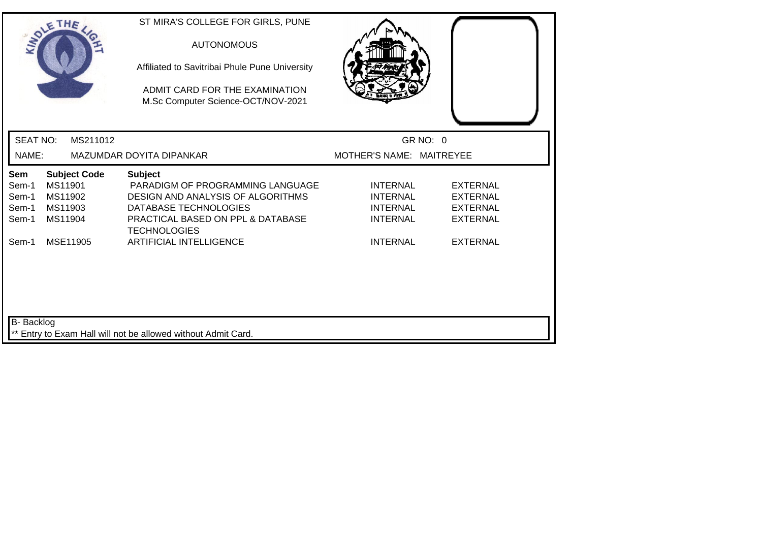|                                         | SOLETHE .                                                       | ST MIRA'S COLLEGE FOR GIRLS, PUNE<br><b>AUTONOMOUS</b><br>Affiliated to Savitribai Phule Pune University<br>ADMIT CARD FOR THE EXAMINATION<br>M.Sc Computer Science-OCT/NOV-2021 |                                                                          |                                                                          |
|-----------------------------------------|-----------------------------------------------------------------|----------------------------------------------------------------------------------------------------------------------------------------------------------------------------------|--------------------------------------------------------------------------|--------------------------------------------------------------------------|
| <b>SEAT NO:</b>                         | MS211012                                                        |                                                                                                                                                                                  | GR NO: 0                                                                 |                                                                          |
| NAME:                                   |                                                                 | MAZUMDAR DOYITA DIPANKAR                                                                                                                                                         | MOTHER'S NAME: MAITREYEE                                                 |                                                                          |
| Sem<br>Sem-1<br>Sem-1<br>Sem-1<br>Sem-1 | <b>Subject Code</b><br>MS11901<br>MS11902<br>MS11903<br>MS11904 | <b>Subject</b><br>PARADIGM OF PROGRAMMING LANGUAGE<br>DESIGN AND ANALYSIS OF ALGORITHMS<br>DATABASE TECHNOLOGIES<br>PRACTICAL BASED ON PPL & DATABASE<br><b>TECHNOLOGIES</b>     | <b>INTERNAL</b><br><b>INTERNAL</b><br><b>INTERNAL</b><br><b>INTERNAL</b> | <b>EXTERNAL</b><br><b>EXTERNAL</b><br><b>EXTERNAL</b><br><b>EXTERNAL</b> |
| Sem-1                                   | MSE11905                                                        | <b>ARTIFICIAL INTELLIGENCE</b>                                                                                                                                                   | <b>INTERNAL</b>                                                          | <b>EXTERNAL</b>                                                          |
| B-Backlog                               |                                                                 | ** Entry to Exam Hall will not be allowed without Admit Card.                                                                                                                    |                                                                          |                                                                          |
|                                         |                                                                 |                                                                                                                                                                                  |                                                                          |                                                                          |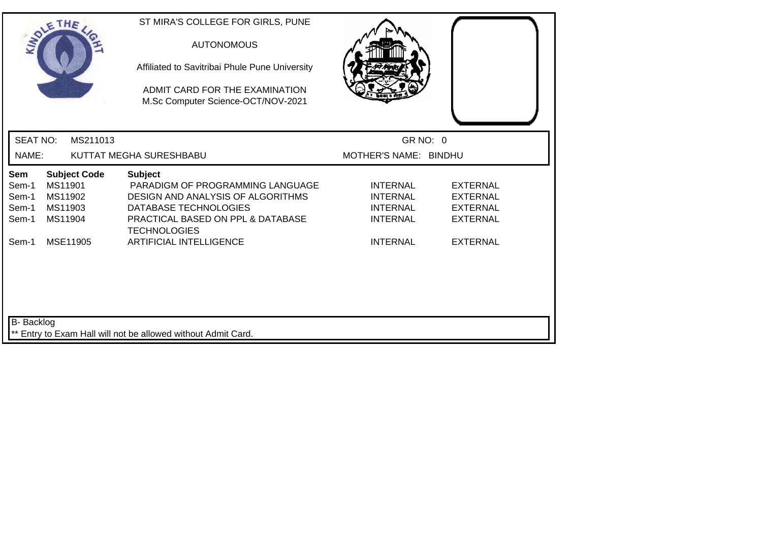|                                         | SOLETHE                                                         | ST MIRA'S COLLEGE FOR GIRLS, PUNE<br><b>AUTONOMOUS</b><br>Affiliated to Savitribai Phule Pune University<br>ADMIT CARD FOR THE EXAMINATION<br>M.Sc Computer Science-OCT/NOV-2021 |                                                                          |                                                                          |
|-----------------------------------------|-----------------------------------------------------------------|----------------------------------------------------------------------------------------------------------------------------------------------------------------------------------|--------------------------------------------------------------------------|--------------------------------------------------------------------------|
| <b>SEAT NO:</b>                         | MS211013                                                        |                                                                                                                                                                                  | GR NO: 0                                                                 |                                                                          |
| NAME:                                   |                                                                 | KUTTAT MEGHA SURESHBABU                                                                                                                                                          | MOTHER'S NAME: BINDHU                                                    |                                                                          |
| Sem<br>Sem-1<br>Sem-1<br>Sem-1<br>Sem-1 | <b>Subject Code</b><br>MS11901<br>MS11902<br>MS11903<br>MS11904 | <b>Subject</b><br>PARADIGM OF PROGRAMMING LANGUAGE<br>DESIGN AND ANALYSIS OF ALGORITHMS<br>DATABASE TECHNOLOGIES<br>PRACTICAL BASED ON PPL & DATABASE<br><b>TECHNOLOGIES</b>     | <b>INTERNAL</b><br><b>INTERNAL</b><br><b>INTERNAL</b><br><b>INTERNAL</b> | <b>EXTERNAL</b><br><b>EXTERNAL</b><br><b>EXTERNAL</b><br><b>EXTERNAL</b> |
| Sem-1                                   | MSE11905                                                        | <b>ARTIFICIAL INTELLIGENCE</b>                                                                                                                                                   | <b>INTERNAL</b>                                                          | <b>EXTERNAL</b>                                                          |
| B- Backlog                              |                                                                 | ** Entry to Exam Hall will not be allowed without Admit Card.                                                                                                                    |                                                                          |                                                                          |
|                                         |                                                                 |                                                                                                                                                                                  |                                                                          |                                                                          |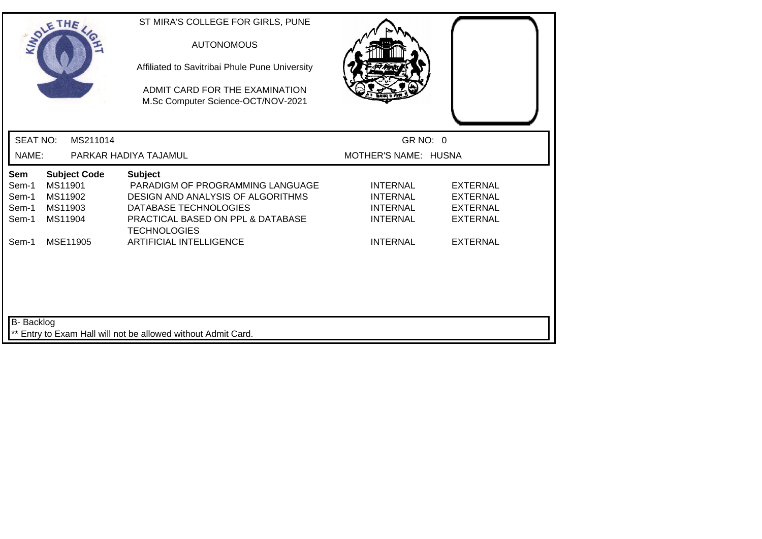| SOLETHE ,                                                                                                         | ST MIRA'S COLLEGE FOR GIRLS, PUNE<br><b>AUTONOMOUS</b><br>Affiliated to Savitribai Phule Pune University<br>ADMIT CARD FOR THE EXAMINATION<br>M.Sc Computer Science-OCT/NOV-2021 |                                                                          |                                                                          |
|-------------------------------------------------------------------------------------------------------------------|----------------------------------------------------------------------------------------------------------------------------------------------------------------------------------|--------------------------------------------------------------------------|--------------------------------------------------------------------------|
| <b>SEAT NO:</b><br>MS211014                                                                                       |                                                                                                                                                                                  | GR NO: 0                                                                 |                                                                          |
| NAME:                                                                                                             | PARKAR HADIYA TAJAMUL                                                                                                                                                            | MOTHER'S NAME: HUSNA                                                     |                                                                          |
| <b>Sem</b><br><b>Subject Code</b><br>MS11901<br>Sem-1<br>MS11902<br>Sem-1<br>MS11903<br>Sem-1<br>MS11904<br>Sem-1 | <b>Subject</b><br>PARADIGM OF PROGRAMMING LANGUAGE<br>DESIGN AND ANALYSIS OF ALGORITHMS<br>DATABASE TECHNOLOGIES<br>PRACTICAL BASED ON PPL & DATABASE<br><b>TECHNOLOGIES</b>     | <b>INTERNAL</b><br><b>INTERNAL</b><br><b>INTERNAL</b><br><b>INTERNAL</b> | <b>EXTERNAL</b><br><b>EXTERNAL</b><br><b>EXTERNAL</b><br><b>EXTERNAL</b> |
| MSE11905<br>Sem-1                                                                                                 | <b>ARTIFICIAL INTELLIGENCE</b>                                                                                                                                                   | <b>INTERNAL</b>                                                          | <b>EXTERNAL</b>                                                          |
| B- Backlog                                                                                                        | ** Entry to Exam Hall will not be allowed without Admit Card.                                                                                                                    |                                                                          |                                                                          |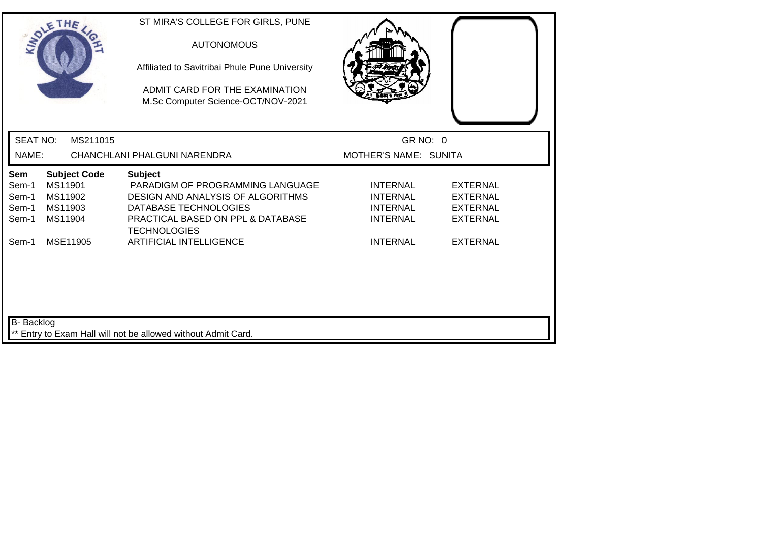|                                                | SOLETHE                                                         | ST MIRA'S COLLEGE FOR GIRLS, PUNE<br><b>AUTONOMOUS</b><br>Affiliated to Savitribai Phule Pune University<br>ADMIT CARD FOR THE EXAMINATION<br>M.Sc Computer Science-OCT/NOV-2021 |                                                                          |                                                                          |  |
|------------------------------------------------|-----------------------------------------------------------------|----------------------------------------------------------------------------------------------------------------------------------------------------------------------------------|--------------------------------------------------------------------------|--------------------------------------------------------------------------|--|
| <b>SEAT NO:</b>                                | MS211015                                                        |                                                                                                                                                                                  | GR NO: 0                                                                 |                                                                          |  |
| NAME:                                          |                                                                 | CHANCHLANI PHALGUNI NARENDRA                                                                                                                                                     | MOTHER'S NAME: SUNITA                                                    |                                                                          |  |
| <b>Sem</b><br>Sem-1<br>Sem-1<br>Sem-1<br>Sem-1 | <b>Subject Code</b><br>MS11901<br>MS11902<br>MS11903<br>MS11904 | <b>Subject</b><br>PARADIGM OF PROGRAMMING LANGUAGE<br>DESIGN AND ANALYSIS OF ALGORITHMS<br>DATABASE TECHNOLOGIES<br>PRACTICAL BASED ON PPL & DATABASE<br><b>TECHNOLOGIES</b>     | <b>INTERNAL</b><br><b>INTERNAL</b><br><b>INTERNAL</b><br><b>INTERNAL</b> | <b>EXTERNAL</b><br><b>EXTERNAL</b><br><b>EXTERNAL</b><br><b>EXTERNAL</b> |  |
| Sem-1                                          | MSE11905                                                        | <b>ARTIFICIAL INTELLIGENCE</b>                                                                                                                                                   | <b>INTERNAL</b>                                                          | <b>EXTERNAL</b>                                                          |  |
| B-Backlog                                      |                                                                 | ** Entry to Exam Hall will not be allowed without Admit Card.                                                                                                                    |                                                                          |                                                                          |  |
|                                                |                                                                 |                                                                                                                                                                                  |                                                                          |                                                                          |  |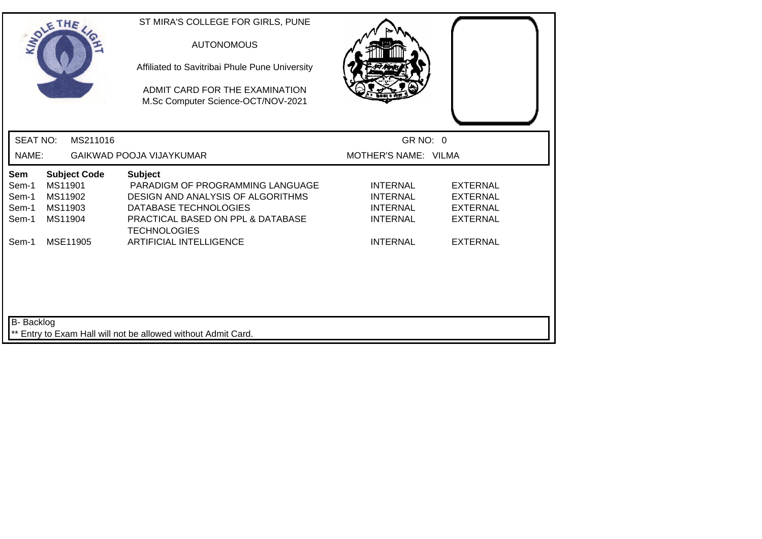| SOLETHE .                                                                                                         | ST MIRA'S COLLEGE FOR GIRLS, PUNE<br><b>AUTONOMOUS</b><br>Affiliated to Savitribai Phule Pune University<br>ADMIT CARD FOR THE EXAMINATION<br>M.Sc Computer Science-OCT/NOV-2021 |                                                                          |                                                                          |
|-------------------------------------------------------------------------------------------------------------------|----------------------------------------------------------------------------------------------------------------------------------------------------------------------------------|--------------------------------------------------------------------------|--------------------------------------------------------------------------|
| <b>SEAT NO:</b><br>MS211016                                                                                       |                                                                                                                                                                                  | GR NO: 0                                                                 |                                                                          |
| NAME:                                                                                                             | GAIKWAD POOJA VIJAYKUMAR                                                                                                                                                         | MOTHER'S NAME: VILMA                                                     |                                                                          |
| <b>Subject Code</b><br><b>Sem</b><br>MS11901<br>Sem-1<br>MS11902<br>Sem-1<br>MS11903<br>Sem-1<br>MS11904<br>Sem-1 | <b>Subject</b><br>PARADIGM OF PROGRAMMING LANGUAGE<br>DESIGN AND ANALYSIS OF ALGORITHMS<br>DATABASE TECHNOLOGIES<br>PRACTICAL BASED ON PPL & DATABASE<br><b>TECHNOLOGIES</b>     | <b>INTERNAL</b><br><b>INTERNAL</b><br><b>INTERNAL</b><br><b>INTERNAL</b> | <b>EXTERNAL</b><br><b>EXTERNAL</b><br><b>EXTERNAL</b><br><b>EXTERNAL</b> |
| Sem-1<br>MSE11905<br>B- Backlog                                                                                   | <b>ARTIFICIAL INTELLIGENCE</b>                                                                                                                                                   | <b>INTERNAL</b>                                                          | <b>EXTERNAL</b>                                                          |
|                                                                                                                   | ** Entry to Exam Hall will not be allowed without Admit Card.                                                                                                                    |                                                                          |                                                                          |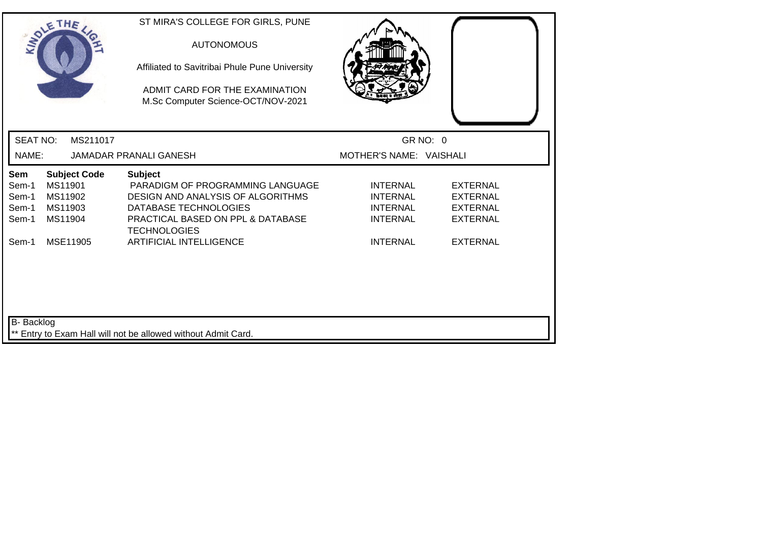| SOLETHE .                                                                                                  | ST MIRA'S COLLEGE FOR GIRLS, PUNE<br><b>AUTONOMOUS</b><br>Affiliated to Savitribai Phule Pune University<br>ADMIT CARD FOR THE EXAMINATION<br>M.Sc Computer Science-OCT/NOV-2021 |                                                                          |                                                                          |
|------------------------------------------------------------------------------------------------------------|----------------------------------------------------------------------------------------------------------------------------------------------------------------------------------|--------------------------------------------------------------------------|--------------------------------------------------------------------------|
| <b>SEAT NO:</b><br>MS211017                                                                                |                                                                                                                                                                                  | GR NO: 0                                                                 |                                                                          |
| NAME:                                                                                                      | <b>JAMADAR PRANALI GANESH</b>                                                                                                                                                    | MOTHER'S NAME: VAISHALI                                                  |                                                                          |
| <b>Subject Code</b><br>Sem<br>MS11901<br>Sem-1<br>Sem-1<br>MS11902<br>MS11903<br>Sem-1<br>Sem-1<br>MS11904 | <b>Subject</b><br>PARADIGM OF PROGRAMMING LANGUAGE<br>DESIGN AND ANALYSIS OF ALGORITHMS<br>DATABASE TECHNOLOGIES<br>PRACTICAL BASED ON PPL & DATABASE<br><b>TECHNOLOGIES</b>     | <b>INTERNAL</b><br><b>INTERNAL</b><br><b>INTERNAL</b><br><b>INTERNAL</b> | <b>EXTERNAL</b><br><b>EXTERNAL</b><br><b>EXTERNAL</b><br><b>EXTERNAL</b> |
| MSE11905<br>Sem-1                                                                                          | <b>ARTIFICIAL INTELLIGENCE</b>                                                                                                                                                   | <b>INTERNAL</b>                                                          | <b>EXTERNAL</b>                                                          |
| B- Backlog                                                                                                 | ** Entry to Exam Hall will not be allowed without Admit Card.                                                                                                                    |                                                                          |                                                                          |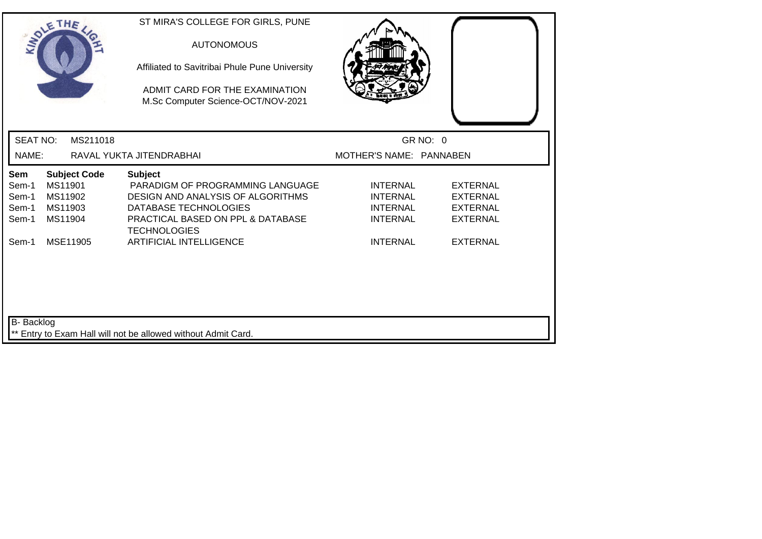|                                                | SOLETHE                                  |                     | ST MIRA'S COLLEGE FOR GIRLS, PUNE<br><b>AUTONOMOUS</b><br>Affiliated to Savitribai Phule Pune University<br>ADMIT CARD FOR THE EXAMINATION<br>M.Sc Computer Science-OCT/NOV-2021 |                                                                          |                                                                          |
|------------------------------------------------|------------------------------------------|---------------------|----------------------------------------------------------------------------------------------------------------------------------------------------------------------------------|--------------------------------------------------------------------------|--------------------------------------------------------------------------|
| <b>SEAT NO:</b>                                |                                          | MS211018            |                                                                                                                                                                                  |                                                                          | GR NO: 0                                                                 |
| NAME:                                          |                                          |                     | RAVAL YUKTA JITENDRABHAI                                                                                                                                                         | MOTHER'S NAME: PANNABEN                                                  |                                                                          |
| <b>Sem</b><br>Sem-1<br>Sem-1<br>Sem-1<br>Sem-1 | MS11901<br>MS11902<br>MS11903<br>MS11904 | <b>Subject Code</b> | <b>Subject</b><br>PARADIGM OF PROGRAMMING LANGUAGE<br>DESIGN AND ANALYSIS OF ALGORITHMS<br>DATABASE TECHNOLOGIES<br>PRACTICAL BASED ON PPL & DATABASE<br><b>TECHNOLOGIES</b>     | <b>INTERNAL</b><br><b>INTERNAL</b><br><b>INTERNAL</b><br><b>INTERNAL</b> | <b>EXTERNAL</b><br><b>EXTERNAL</b><br><b>EXTERNAL</b><br><b>EXTERNAL</b> |
| Sem-1                                          | MSE11905                                 |                     | <b>ARTIFICIAL INTELLIGENCE</b>                                                                                                                                                   | <b>INTERNAL</b>                                                          | <b>EXTERNAL</b>                                                          |
| B-Backlog                                      |                                          |                     | ** Entry to Exam Hall will not be allowed without Admit Card.                                                                                                                    |                                                                          |                                                                          |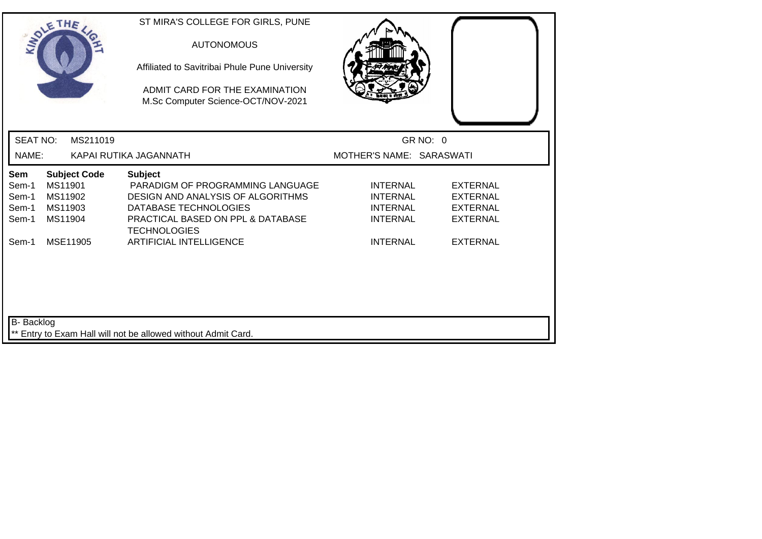|                                         | SOLETHE ,                                                       | ST MIRA'S COLLEGE FOR GIRLS, PUNE<br><b>AUTONOMOUS</b><br>Affiliated to Savitribai Phule Pune University<br>ADMIT CARD FOR THE EXAMINATION<br>M.Sc Computer Science-OCT/NOV-2021 |                                                                          |                                                                          |  |
|-----------------------------------------|-----------------------------------------------------------------|----------------------------------------------------------------------------------------------------------------------------------------------------------------------------------|--------------------------------------------------------------------------|--------------------------------------------------------------------------|--|
| <b>SEAT NO:</b>                         | MS211019                                                        |                                                                                                                                                                                  | GR NO: 0                                                                 |                                                                          |  |
| NAME:                                   |                                                                 | KAPAI RUTIKA JAGANNATH                                                                                                                                                           | MOTHER'S NAME: SARASWATI                                                 |                                                                          |  |
| Sem<br>Sem-1<br>Sem-1<br>Sem-1<br>Sem-1 | <b>Subject Code</b><br>MS11901<br>MS11902<br>MS11903<br>MS11904 | <b>Subject</b><br>PARADIGM OF PROGRAMMING LANGUAGE<br>DESIGN AND ANALYSIS OF ALGORITHMS<br>DATABASE TECHNOLOGIES<br>PRACTICAL BASED ON PPL & DATABASE<br><b>TECHNOLOGIES</b>     | <b>INTERNAL</b><br><b>INTERNAL</b><br><b>INTERNAL</b><br><b>INTERNAL</b> | <b>EXTERNAL</b><br><b>EXTERNAL</b><br><b>EXTERNAL</b><br><b>EXTERNAL</b> |  |
| Sem-1                                   | MSE11905                                                        | <b>ARTIFICIAL INTELLIGENCE</b>                                                                                                                                                   | <b>INTERNAL</b>                                                          | <b>EXTERNAL</b>                                                          |  |
| B- Backlog                              |                                                                 | Entry to Exam Hall will not be allowed without Admit Card.                                                                                                                       |                                                                          |                                                                          |  |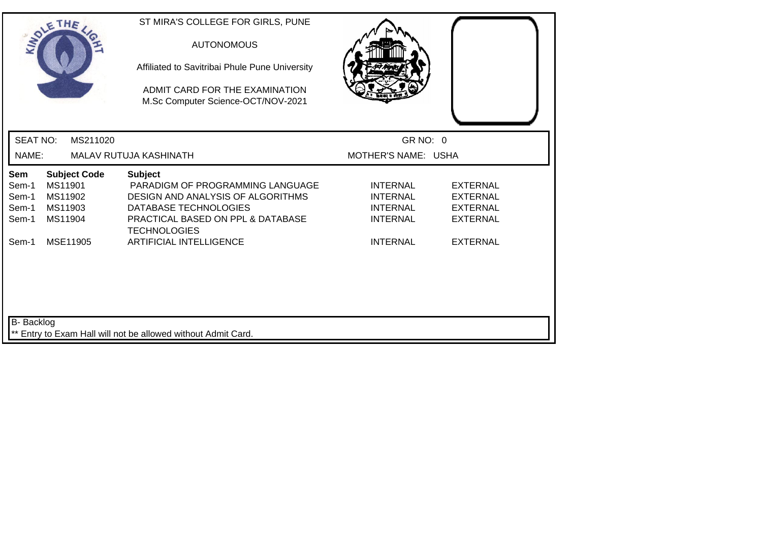| SOLETHE .                                                                                                         | ST MIRA'S COLLEGE FOR GIRLS, PUNE<br><b>AUTONOMOUS</b><br>Affiliated to Savitribai Phule Pune University<br>ADMIT CARD FOR THE EXAMINATION<br>M.Sc Computer Science-OCT/NOV-2021 |                                                                                                                                                      |  |
|-------------------------------------------------------------------------------------------------------------------|----------------------------------------------------------------------------------------------------------------------------------------------------------------------------------|------------------------------------------------------------------------------------------------------------------------------------------------------|--|
| <b>SEAT NO:</b><br>MS211020                                                                                       |                                                                                                                                                                                  | GR NO: 0                                                                                                                                             |  |
| NAME:                                                                                                             | MALAV RUTUJA KASHINATH                                                                                                                                                           | MOTHER'S NAME: USHA                                                                                                                                  |  |
| <b>Sem</b><br><b>Subject Code</b><br>MS11901<br>Sem-1<br>MS11902<br>Sem-1<br>MS11903<br>Sem-1<br>MS11904<br>Sem-1 | <b>Subject</b><br>PARADIGM OF PROGRAMMING LANGUAGE<br>DESIGN AND ANALYSIS OF ALGORITHMS<br>DATABASE TECHNOLOGIES<br>PRACTICAL BASED ON PPL & DATABASE<br><b>TECHNOLOGIES</b>     | <b>INTERNAL</b><br><b>EXTERNAL</b><br><b>INTERNAL</b><br><b>EXTERNAL</b><br><b>INTERNAL</b><br><b>EXTERNAL</b><br><b>INTERNAL</b><br><b>EXTERNAL</b> |  |
| Sem-1<br>MSE11905<br>B- Backlog                                                                                   | <b>ARTIFICIAL INTELLIGENCE</b>                                                                                                                                                   | <b>INTERNAL</b><br><b>EXTERNAL</b>                                                                                                                   |  |
|                                                                                                                   | ** Entry to Exam Hall will not be allowed without Admit Card.                                                                                                                    |                                                                                                                                                      |  |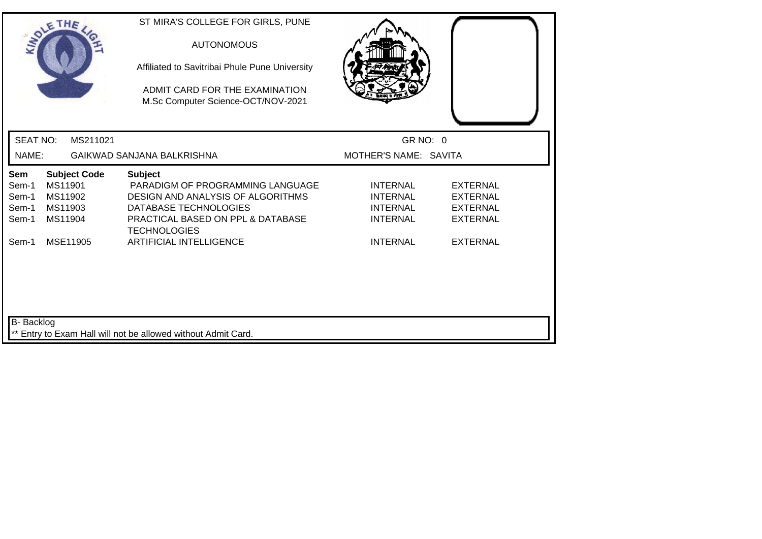|                                                | SOLETHE                                                         | ST MIRA'S COLLEGE FOR GIRLS, PUNE<br><b>AUTONOMOUS</b><br>Affiliated to Savitribai Phule Pune University<br>ADMIT CARD FOR THE EXAMINATION<br>M.Sc Computer Science-OCT/NOV-2021 |                                                                          |                                                                          |  |
|------------------------------------------------|-----------------------------------------------------------------|----------------------------------------------------------------------------------------------------------------------------------------------------------------------------------|--------------------------------------------------------------------------|--------------------------------------------------------------------------|--|
| <b>SEAT NO:</b>                                | MS211021                                                        |                                                                                                                                                                                  | GR NO: 0                                                                 |                                                                          |  |
| NAME:                                          |                                                                 | GAIKWAD SANJANA BALKRISHNA                                                                                                                                                       | MOTHER'S NAME: SAVITA                                                    |                                                                          |  |
| <b>Sem</b><br>Sem-1<br>Sem-1<br>Sem-1<br>Sem-1 | <b>Subject Code</b><br>MS11901<br>MS11902<br>MS11903<br>MS11904 | <b>Subject</b><br>PARADIGM OF PROGRAMMING LANGUAGE<br>DESIGN AND ANALYSIS OF ALGORITHMS<br>DATABASE TECHNOLOGIES<br>PRACTICAL BASED ON PPL & DATABASE<br><b>TECHNOLOGIES</b>     | <b>INTERNAL</b><br><b>INTERNAL</b><br><b>INTERNAL</b><br><b>INTERNAL</b> | <b>EXTERNAL</b><br><b>EXTERNAL</b><br><b>EXTERNAL</b><br><b>EXTERNAL</b> |  |
| Sem-1                                          | MSE11905                                                        | <b>ARTIFICIAL INTELLIGENCE</b>                                                                                                                                                   | <b>INTERNAL</b>                                                          | <b>EXTERNAL</b>                                                          |  |
| B-Backlog                                      |                                                                 | ** Entry to Exam Hall will not be allowed without Admit Card.                                                                                                                    |                                                                          |                                                                          |  |
|                                                |                                                                 |                                                                                                                                                                                  |                                                                          |                                                                          |  |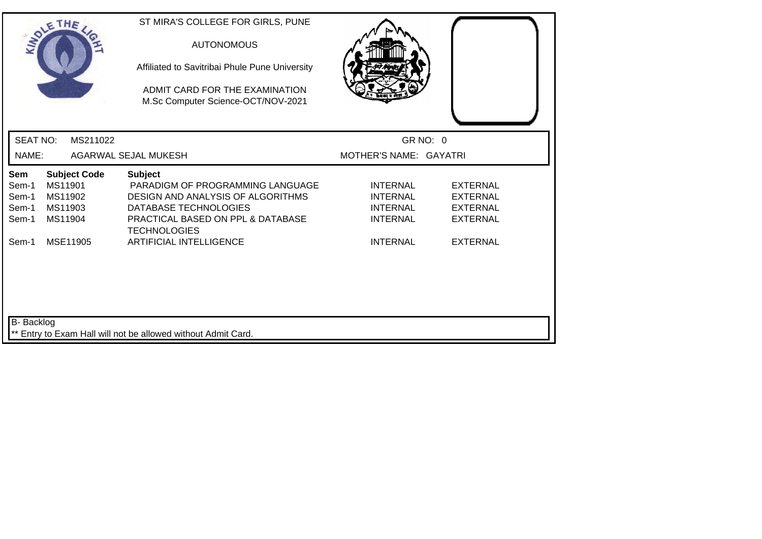| SOLETHE .                                                                                                  | ST MIRA'S COLLEGE FOR GIRLS, PUNE<br><b>AUTONOMOUS</b><br>Affiliated to Savitribai Phule Pune University<br>ADMIT CARD FOR THE EXAMINATION<br>M.Sc Computer Science-OCT/NOV-2021 |                                                                          |                                                                          |
|------------------------------------------------------------------------------------------------------------|----------------------------------------------------------------------------------------------------------------------------------------------------------------------------------|--------------------------------------------------------------------------|--------------------------------------------------------------------------|
| <b>SEAT NO:</b><br>MS211022                                                                                |                                                                                                                                                                                  | GR NO: 0                                                                 |                                                                          |
| NAME:                                                                                                      | AGARWAL SEJAL MUKESH                                                                                                                                                             | MOTHER'S NAME: GAYATRI                                                   |                                                                          |
| Sem<br><b>Subject Code</b><br>MS11901<br>Sem-1<br>Sem-1<br>MS11902<br>MS11903<br>Sem-1<br>Sem-1<br>MS11904 | <b>Subject</b><br>PARADIGM OF PROGRAMMING LANGUAGE<br>DESIGN AND ANALYSIS OF ALGORITHMS<br>DATABASE TECHNOLOGIES<br>PRACTICAL BASED ON PPL & DATABASE<br><b>TECHNOLOGIES</b>     | <b>INTERNAL</b><br><b>INTERNAL</b><br><b>INTERNAL</b><br><b>INTERNAL</b> | <b>EXTERNAL</b><br><b>EXTERNAL</b><br><b>EXTERNAL</b><br><b>EXTERNAL</b> |
| MSE11905<br>Sem-1                                                                                          | <b>ARTIFICIAL INTELLIGENCE</b>                                                                                                                                                   | <b>INTERNAL</b>                                                          | <b>EXTERNAL</b>                                                          |
| B- Backlog                                                                                                 | ** Entry to Exam Hall will not be allowed without Admit Card.                                                                                                                    |                                                                          |                                                                          |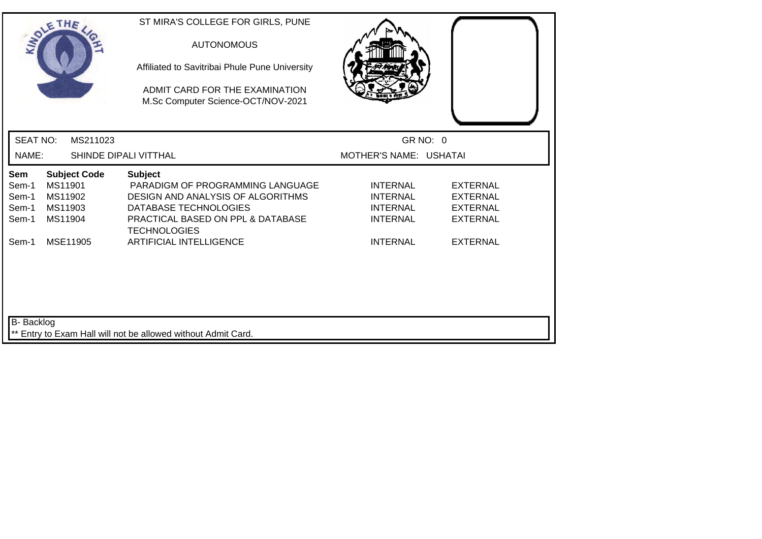| SOLETHE .                                                                                                  | ST MIRA'S COLLEGE FOR GIRLS, PUNE<br><b>AUTONOMOUS</b><br>Affiliated to Savitribai Phule Pune University<br>ADMIT CARD FOR THE EXAMINATION<br>M.Sc Computer Science-OCT/NOV-2021        |                                                                          |                                                                          |
|------------------------------------------------------------------------------------------------------------|-----------------------------------------------------------------------------------------------------------------------------------------------------------------------------------------|--------------------------------------------------------------------------|--------------------------------------------------------------------------|
| <b>SEAT NO:</b><br>MS211023                                                                                |                                                                                                                                                                                         | GR NO: 0                                                                 |                                                                          |
| NAME:                                                                                                      | SHINDE DIPALI VITTHAL                                                                                                                                                                   | MOTHER'S NAME: USHATAI                                                   |                                                                          |
| <b>Subject Code</b><br>Sem<br>MS11901<br>Sem-1<br>MS11902<br>Sem-1<br>MS11903<br>Sem-1<br>MS11904<br>Sem-1 | <b>Subject</b><br>PARADIGM OF PROGRAMMING LANGUAGE<br>DESIGN AND ANALYSIS OF ALGORITHMS<br>DATABASE TECHNOLOGIES<br><b>PRACTICAL BASED ON PPL &amp; DATABASE</b><br><b>TECHNOLOGIES</b> | <b>INTERNAL</b><br><b>INTERNAL</b><br><b>INTERNAL</b><br><b>INTERNAL</b> | <b>EXTERNAL</b><br><b>EXTERNAL</b><br><b>EXTERNAL</b><br><b>EXTERNAL</b> |
| MSE11905<br>Sem-1                                                                                          | <b>ARTIFICIAL INTELLIGENCE</b>                                                                                                                                                          | <b>INTERNAL</b>                                                          | <b>EXTERNAL</b>                                                          |
| B- Backlog                                                                                                 | ** Entry to Exam Hall will not be allowed without Admit Card.                                                                                                                           |                                                                          |                                                                          |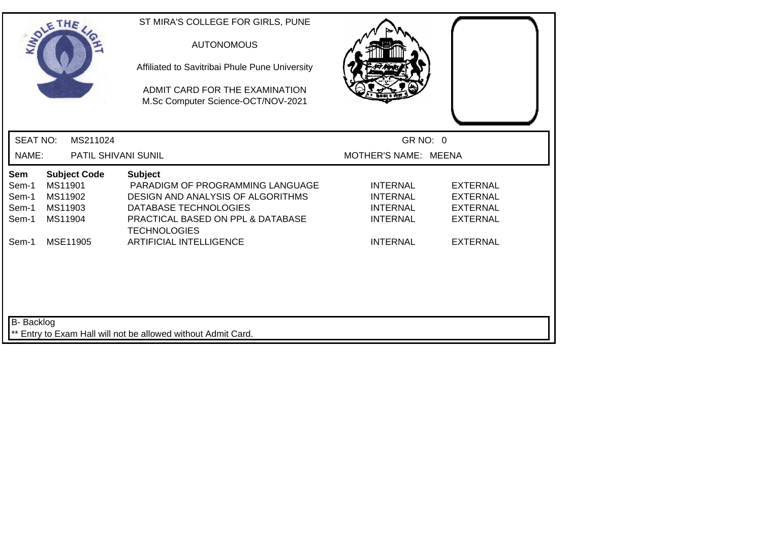| SOLETHE .                                                                                                  | ST MIRA'S COLLEGE FOR GIRLS, PUNE<br><b>AUTONOMOUS</b><br>Affiliated to Savitribai Phule Pune University<br>ADMIT CARD FOR THE EXAMINATION<br>M.Sc Computer Science-OCT/NOV-2021 |                                                                          |                                                                          |
|------------------------------------------------------------------------------------------------------------|----------------------------------------------------------------------------------------------------------------------------------------------------------------------------------|--------------------------------------------------------------------------|--------------------------------------------------------------------------|
| <b>SEAT NO:</b><br>MS211024                                                                                |                                                                                                                                                                                  | GR NO: 0                                                                 |                                                                          |
| NAME:<br>PATIL SHIVANI SUNIL                                                                               |                                                                                                                                                                                  | MOTHER'S NAME: MEENA                                                     |                                                                          |
| <b>Subject Code</b><br>Sem<br>MS11901<br>Sem-1<br>MS11902<br>Sem-1<br>MS11903<br>Sem-1<br>MS11904<br>Sem-1 | <b>Subject</b><br>PARADIGM OF PROGRAMMING LANGUAGE<br>DESIGN AND ANALYSIS OF ALGORITHMS<br>DATABASE TECHNOLOGIES<br>PRACTICAL BASED ON PPL & DATABASE<br><b>TECHNOLOGIES</b>     | <b>INTERNAL</b><br><b>INTERNAL</b><br><b>INTERNAL</b><br><b>INTERNAL</b> | <b>EXTERNAL</b><br><b>EXTERNAL</b><br><b>EXTERNAL</b><br><b>EXTERNAL</b> |
| MSE11905<br>Sem-1                                                                                          | <b>ARTIFICIAL INTELLIGENCE</b>                                                                                                                                                   | <b>INTERNAL</b>                                                          | <b>EXTERNAL</b>                                                          |
| B- Backlog                                                                                                 | ** Entry to Exam Hall will not be allowed without Admit Card.                                                                                                                    |                                                                          |                                                                          |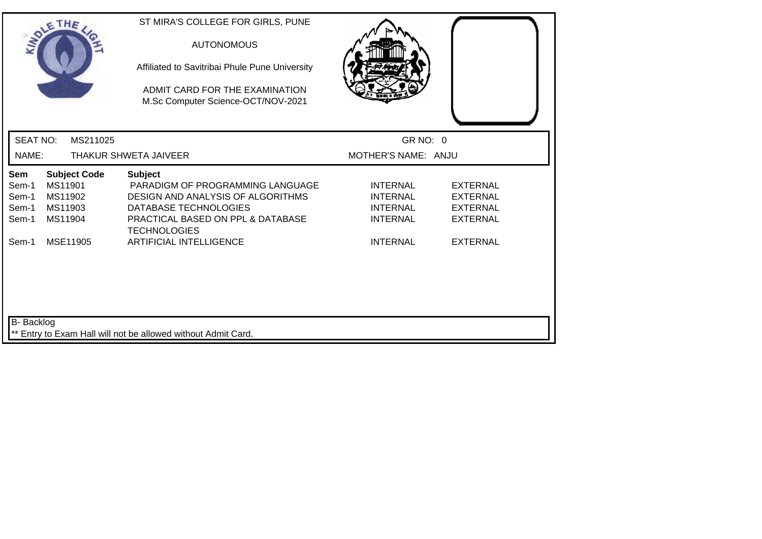| SOLETHE .                                                                                                         | ST MIRA'S COLLEGE FOR GIRLS, PUNE<br><b>AUTONOMOUS</b><br>Affiliated to Savitribai Phule Pune University<br>ADMIT CARD FOR THE EXAMINATION<br>M.Sc Computer Science-OCT/NOV-2021 |                                                                          |                                                                          |
|-------------------------------------------------------------------------------------------------------------------|----------------------------------------------------------------------------------------------------------------------------------------------------------------------------------|--------------------------------------------------------------------------|--------------------------------------------------------------------------|
| <b>SEAT NO:</b><br>MS211025                                                                                       |                                                                                                                                                                                  | GR NO: 0                                                                 |                                                                          |
| NAME:                                                                                                             | THAKUR SHWETA JAIVEER                                                                                                                                                            | MOTHER'S NAME: ANJU                                                      |                                                                          |
| <b>Sem</b><br><b>Subject Code</b><br>MS11901<br>Sem-1<br>MS11902<br>Sem-1<br>MS11903<br>Sem-1<br>Sem-1<br>MS11904 | <b>Subject</b><br>PARADIGM OF PROGRAMMING LANGUAGE<br>DESIGN AND ANALYSIS OF ALGORITHMS<br>DATABASE TECHNOLOGIES<br>PRACTICAL BASED ON PPL & DATABASE<br><b>TECHNOLOGIES</b>     | <b>INTERNAL</b><br><b>INTERNAL</b><br><b>INTERNAL</b><br><b>INTERNAL</b> | <b>EXTERNAL</b><br><b>EXTERNAL</b><br><b>EXTERNAL</b><br><b>EXTERNAL</b> |
| Sem-1<br>MSE11905<br>B- Backlog                                                                                   | <b>ARTIFICIAL INTELLIGENCE</b>                                                                                                                                                   | <b>INTERNAL</b>                                                          | <b>EXTERNAL</b>                                                          |
|                                                                                                                   | ** Entry to Exam Hall will not be allowed without Admit Card.                                                                                                                    |                                                                          |                                                                          |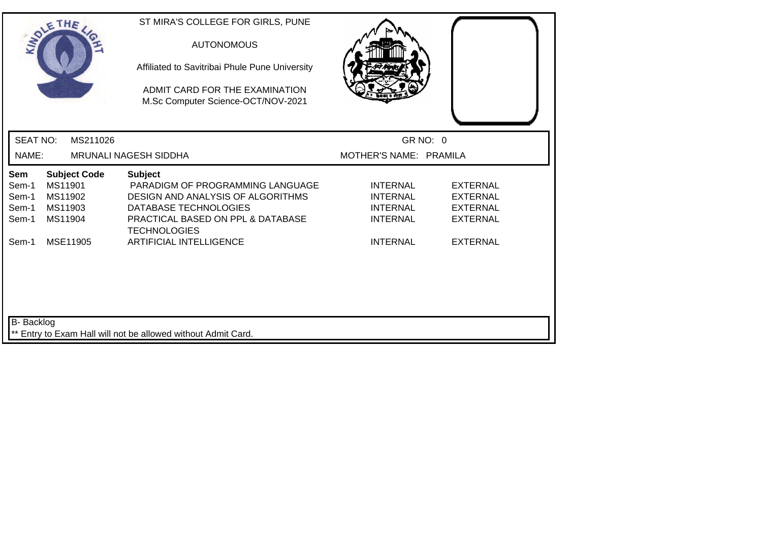| ADMIT CARD FOR THE EXAMINATION<br>M.Sc Computer Science-OCT/NOV-2021                                                                                                                                                                                                                                                                                                   |                                                                          |
|------------------------------------------------------------------------------------------------------------------------------------------------------------------------------------------------------------------------------------------------------------------------------------------------------------------------------------------------------------------------|--------------------------------------------------------------------------|
| <b>SEAT NO:</b><br>GR NO: 0<br>MS211026                                                                                                                                                                                                                                                                                                                                |                                                                          |
| NAME:<br>MOTHER'S NAME: PRAMILA<br><b>MRUNALI NAGESH SIDDHA</b>                                                                                                                                                                                                                                                                                                        |                                                                          |
| <b>Subject Code</b><br>Sem<br><b>Subject</b><br>MS11901<br>PARADIGM OF PROGRAMMING LANGUAGE<br>Sem-1<br><b>INTERNAL</b><br>MS11902<br>DESIGN AND ANALYSIS OF ALGORITHMS<br>Sem-1<br><b>INTERNAL</b><br>DATABASE TECHNOLOGIES<br>MS11903<br><b>INTERNAL</b><br>Sem-1<br>Sem-1<br>MS11904<br>PRACTICAL BASED ON PPL & DATABASE<br><b>INTERNAL</b><br><b>TECHNOLOGIES</b> | <b>EXTERNAL</b><br><b>EXTERNAL</b><br><b>EXTERNAL</b><br><b>EXTERNAL</b> |
| MSE11905<br><b>ARTIFICIAL INTELLIGENCE</b><br>Sem-1<br><b>INTERNAL</b><br>B- Backlog<br>** Entry to Exam Hall will not be allowed without Admit Card.                                                                                                                                                                                                                  | <b>EXTERNAL</b>                                                          |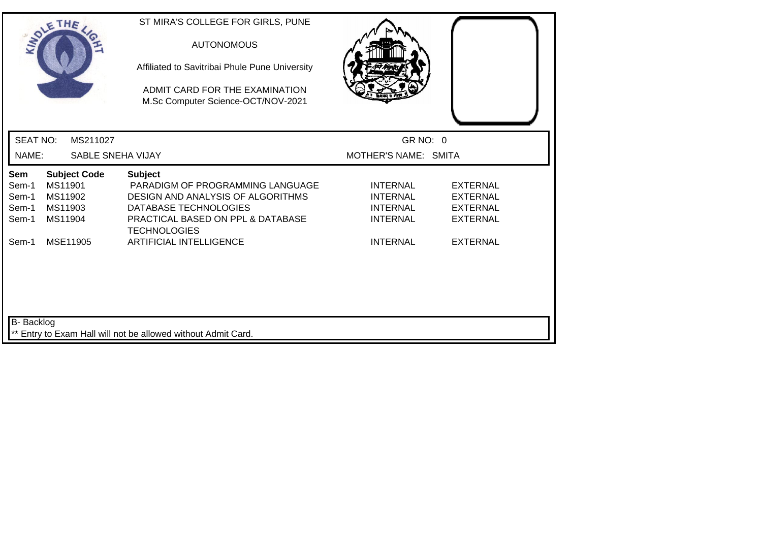| SOLETHE                                                                                                    | ST MIRA'S COLLEGE FOR GIRLS, PUNE<br><b>AUTONOMOUS</b><br>Affiliated to Savitribai Phule Pune University<br>ADMIT CARD FOR THE EXAMINATION<br>M.Sc Computer Science-OCT/NOV-2021 |                                                                          |                                                                          |
|------------------------------------------------------------------------------------------------------------|----------------------------------------------------------------------------------------------------------------------------------------------------------------------------------|--------------------------------------------------------------------------|--------------------------------------------------------------------------|
| <b>SEAT NO:</b><br>MS211027                                                                                |                                                                                                                                                                                  | GR NO: 0                                                                 |                                                                          |
| <b>SABLE SNEHA VIJAY</b><br>NAME:                                                                          |                                                                                                                                                                                  | MOTHER'S NAME: SMITA                                                     |                                                                          |
| <b>Subject Code</b><br>Sem<br>MS11901<br>Sem-1<br>Sem-1<br>MS11902<br>MS11903<br>Sem-1<br>MS11904<br>Sem-1 | <b>Subject</b><br>PARADIGM OF PROGRAMMING LANGUAGE<br>DESIGN AND ANALYSIS OF ALGORITHMS<br>DATABASE TECHNOLOGIES<br>PRACTICAL BASED ON PPL & DATABASE<br><b>TECHNOLOGIES</b>     | <b>INTERNAL</b><br><b>INTERNAL</b><br><b>INTERNAL</b><br><b>INTERNAL</b> | <b>EXTERNAL</b><br><b>EXTERNAL</b><br><b>EXTERNAL</b><br><b>EXTERNAL</b> |
| MSE11905<br>Sem-1                                                                                          | <b>ARTIFICIAL INTELLIGENCE</b>                                                                                                                                                   | <b>INTERNAL</b>                                                          | <b>EXTERNAL</b>                                                          |
| B- Backlog                                                                                                 | ** Entry to Exam Hall will not be allowed without Admit Card.                                                                                                                    |                                                                          |                                                                          |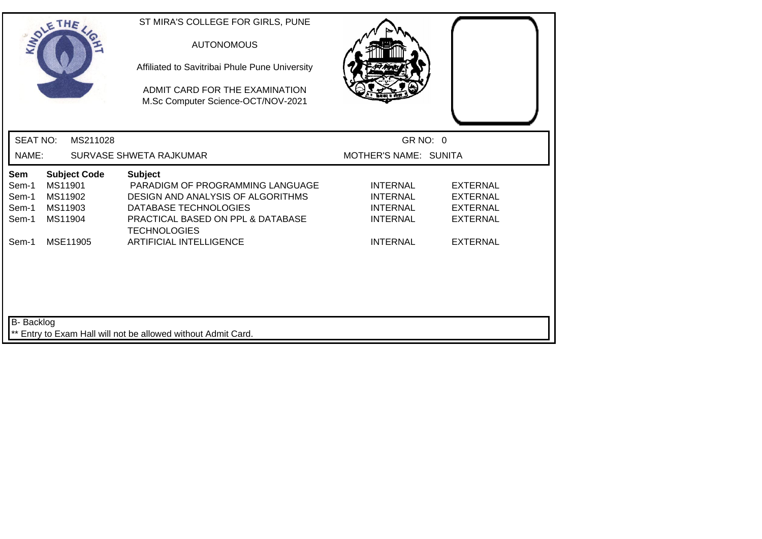| SOLETHE .                                                                                                         | ST MIRA'S COLLEGE FOR GIRLS, PUNE<br><b>AUTONOMOUS</b><br>Affiliated to Savitribai Phule Pune University<br>ADMIT CARD FOR THE EXAMINATION<br>M.Sc Computer Science-OCT/NOV-2021 |                                                                          |                                                                          |
|-------------------------------------------------------------------------------------------------------------------|----------------------------------------------------------------------------------------------------------------------------------------------------------------------------------|--------------------------------------------------------------------------|--------------------------------------------------------------------------|
| <b>SEAT NO:</b><br>MS211028                                                                                       |                                                                                                                                                                                  | GR NO: 0                                                                 |                                                                          |
| NAME:                                                                                                             | SURVASE SHWETA RAJKUMAR                                                                                                                                                          | MOTHER'S NAME: SUNITA                                                    |                                                                          |
| <b>Subject Code</b><br><b>Sem</b><br>MS11901<br>Sem-1<br>MS11902<br>Sem-1<br>MS11903<br>Sem-1<br>MS11904<br>Sem-1 | <b>Subject</b><br>PARADIGM OF PROGRAMMING LANGUAGE<br>DESIGN AND ANALYSIS OF ALGORITHMS<br>DATABASE TECHNOLOGIES<br>PRACTICAL BASED ON PPL & DATABASE<br><b>TECHNOLOGIES</b>     | <b>INTERNAL</b><br><b>INTERNAL</b><br><b>INTERNAL</b><br><b>INTERNAL</b> | <b>EXTERNAL</b><br><b>EXTERNAL</b><br><b>EXTERNAL</b><br><b>EXTERNAL</b> |
| MSE11905<br>Sem-1                                                                                                 | <b>ARTIFICIAL INTELLIGENCE</b>                                                                                                                                                   | <b>INTERNAL</b>                                                          | <b>EXTERNAL</b>                                                          |
| B- Backlog                                                                                                        | ** Entry to Exam Hall will not be allowed without Admit Card.                                                                                                                    |                                                                          |                                                                          |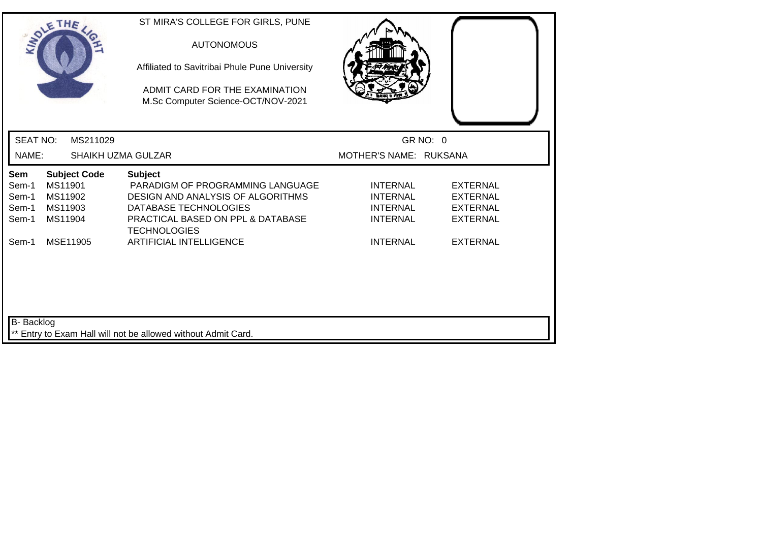| SOLETHE .                                                                                                  | ST MIRA'S COLLEGE FOR GIRLS, PUNE<br><b>AUTONOMOUS</b><br>Affiliated to Savitribai Phule Pune University<br>ADMIT CARD FOR THE EXAMINATION<br>M.Sc Computer Science-OCT/NOV-2021    |                                                                          |                                                                          |
|------------------------------------------------------------------------------------------------------------|-------------------------------------------------------------------------------------------------------------------------------------------------------------------------------------|--------------------------------------------------------------------------|--------------------------------------------------------------------------|
| <b>SEAT NO:</b><br>MS211029                                                                                |                                                                                                                                                                                     |                                                                          | GR NO: 0                                                                 |
| NAME:                                                                                                      | <b>SHAIKH UZMA GULZAR</b>                                                                                                                                                           | MOTHER'S NAME: RUKSANA                                                   |                                                                          |
| Sem<br><b>Subject Code</b><br>Sem-1<br>MS11901<br>MS11902<br>Sem-1<br>MS11903<br>Sem-1<br>Sem-1<br>MS11904 | <b>Subject</b><br>PARADIGM OF PROGRAMMING LANGUAGE<br><b>DESIGN AND ANALYSIS OF ALGORITHMS</b><br>DATABASE TECHNOLOGIES<br>PRACTICAL BASED ON PPL & DATABASE<br><b>TECHNOLOGIES</b> | <b>INTERNAL</b><br><b>INTERNAL</b><br><b>INTERNAL</b><br><b>INTERNAL</b> | <b>EXTERNAL</b><br><b>EXTERNAL</b><br><b>EXTERNAL</b><br><b>EXTERNAL</b> |
| MSE11905<br>Sem-1                                                                                          | <b>ARTIFICIAL INTELLIGENCE</b>                                                                                                                                                      | <b>INTERNAL</b>                                                          | <b>EXTERNAL</b>                                                          |
| B- Backlog                                                                                                 | ** Entry to Exam Hall will not be allowed without Admit Card.                                                                                                                       |                                                                          |                                                                          |